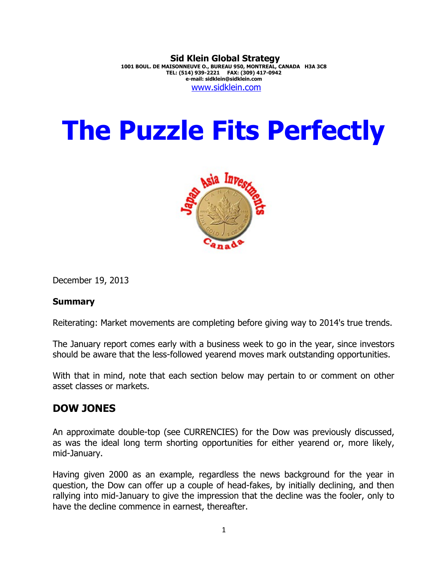#### **Sid Klein Global Strategy 1001 BOUL. DE MAISONNEUVE O., BUREAU 950, MONTREAL, CANADA H3A 3C8 TEL: (514) 939-2221 FAX: (309) 417-0942 e-mail: sidklein@sidklein.com** [www.sidklein.com](http://www.sidklein.com/)

# **The Puzzle Fits Perfectly**



December 19, 2013

#### **Summary**

Reiterating: Market movements are completing before giving way to 2014's true trends.

The January report comes early with a business week to go in the year, since investors should be aware that the less-followed yearend moves mark outstanding opportunities.

With that in mind, note that each section below may pertain to or comment on other asset classes or markets.

## **DOW JONES**

An approximate double-top (see CURRENCIES) for the Dow was previously discussed, as was the ideal long term shorting opportunities for either yearend or, more likely, mid-January.

Having given 2000 as an example, regardless the news background for the year in question, the Dow can offer up a couple of head-fakes, by initially declining, and then rallying into mid-January to give the impression that the decline was the fooler, only to have the decline commence in earnest, thereafter.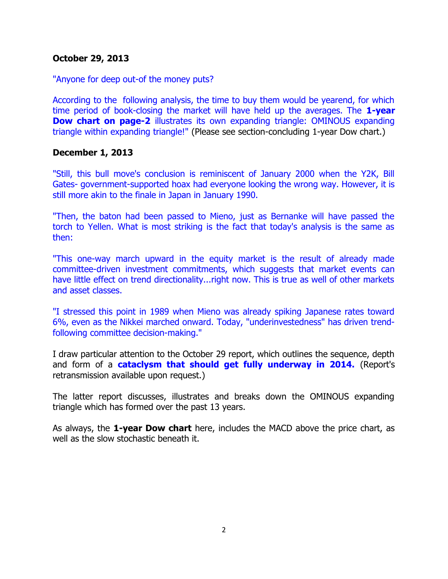#### **October 29, 2013**

#### "Anyone for deep out-of the money puts?

According to the following analysis, the time to buy them would be yearend, for which time period of book-closing the market will have held up the averages. The **1-year Dow chart on page-2** illustrates its own expanding triangle: OMINOUS expanding triangle within expanding triangle!" (Please see section-concluding 1-year Dow chart.)

#### **December 1, 2013**

"Still, this bull move's conclusion is reminiscent of January 2000 when the Y2K, Bill Gates- government-supported hoax had everyone looking the wrong way. However, it is still more akin to the finale in Japan in January 1990.

"Then, the baton had been passed to Mieno, just as Bernanke will have passed the torch to Yellen. What is most striking is the fact that today's analysis is the same as then:

"This one-way march upward in the equity market is the result of already made committee-driven investment commitments, which suggests that market events can have little effect on trend directionality...right now. This is true as well of other markets and asset classes.

"I stressed this point in 1989 when Mieno was already spiking Japanese rates toward 6%, even as the Nikkei marched onward. Today, "underinvestedness" has driven trendfollowing committee decision-making."

I draw particular attention to the October 29 report, which outlines the sequence, depth and form of a **cataclysm that should get fully underway in 2014.** (Report's retransmission available upon request.)

The latter report discusses, illustrates and breaks down the OMINOUS expanding triangle which has formed over the past 13 years.

As always, the **1-year Dow chart** here, includes the MACD above the price chart, as well as the slow stochastic beneath it.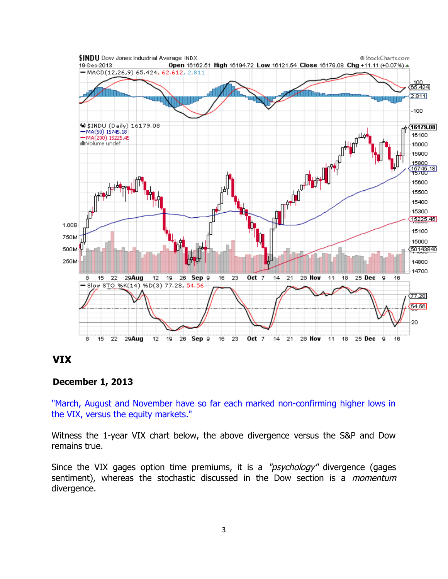

## **VIX**

#### **December 1, 2013**

"March, August and November have so far each marked non-confirming higher lows in the VIX, versus the equity markets."

Witness the 1-year VIX chart below, the above divergence versus the S&P and Dow remains true.

Since the VIX gages option time premiums, it is a "psychology" divergence (gages sentiment), whereas the stochastic discussed in the Dow section is a *momentum* divergence.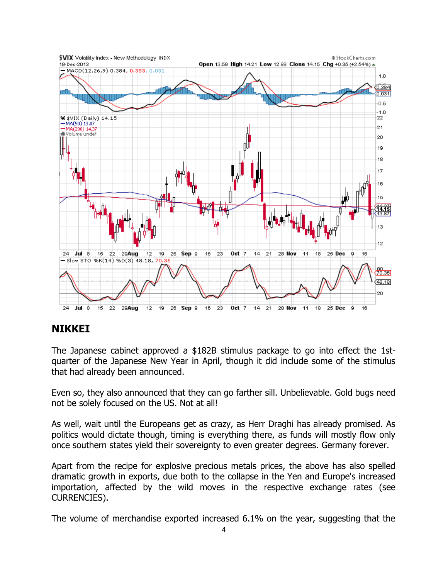

## **NIKKEI**

The Japanese cabinet approved a \$182B stimulus package to go into effect the 1stquarter of the Japanese New Year in April, though it did include some of the stimulus that had already been announced.

Even so, they also announced that they can go farther sill. Unbelievable. Gold bugs need not be solely focused on the US. Not at all!

As well, wait until the Europeans get as crazy, as Herr Draghi has already promised. As politics would dictate though, timing is everything there, as funds will mostly flow only once southern states yield their sovereignty to even greater degrees. Germany forever.

Apart from the recipe for explosive precious metals prices, the above has also spelled dramatic growth in exports, due both to the collapse in the Yen and Europe's increased importation, affected by the wild moves in the respective exchange rates (see CURRENCIES).

The volume of merchandise exported increased 6.1% on the year, suggesting that the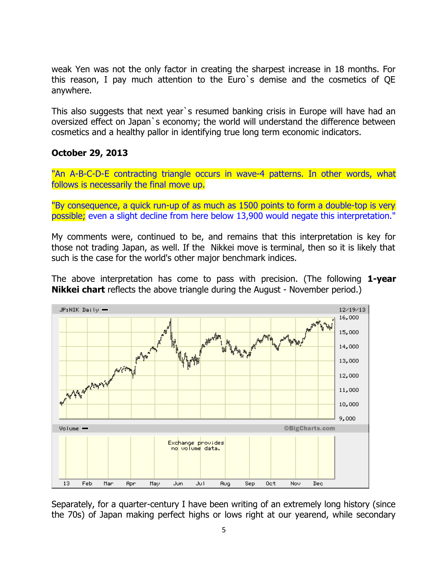weak Yen was not the only factor in creating the sharpest increase in 18 months. For this reason, I pay much attention to the Euro`s demise and the cosmetics of QE anywhere.

This also suggests that next year`s resumed banking crisis in Europe will have had an oversized effect on Japan`s economy; the world will understand the difference between cosmetics and a healthy pallor in identifying true long term economic indicators.

#### **October 29, 2013**

"An A-B-C-D-E contracting triangle occurs in wave-4 patterns. In other words, what follows is necessarily the final move up.

"By consequence, a quick run-up of as much as 1500 points to form a double-top is very possible; even a slight decline from here below 13,900 would negate this interpretation."

My comments were, continued to be, and remains that this interpretation is key for those not trading Japan, as well. If the Nikkei move is terminal, then so it is likely that such is the case for the world's other major benchmark indices.

The above interpretation has come to pass with precision. (The following **1-year Nikkei chart** reflects the above triangle during the August - November period.)



Separately, for a quarter-century I have been writing of an extremely long history (since the 70s) of Japan making perfect highs or lows right at our yearend, while secondary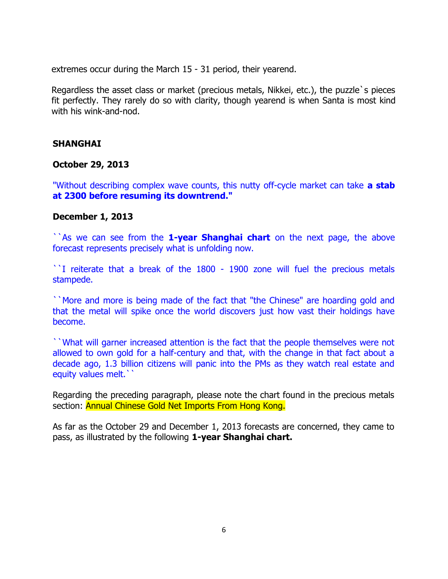extremes occur during the March 15 - 31 period, their yearend.

Regardless the asset class or market (precious metals, Nikkei, etc.), the puzzle`s pieces fit perfectly. They rarely do so with clarity, though yearend is when Santa is most kind with his wink-and-nod.

#### **SHANGHAI**

#### **October 29, 2013**

"Without describing complex wave counts, this nutty off-cycle market can take **a stab at 2300 before resuming its downtrend."** 

#### **December 1, 2013**

``As we can see from the **1-year Shanghai chart** on the next page, the above forecast represents precisely what is unfolding now.

``I reiterate that a break of the 1800 - 1900 zone will fuel the precious metals stampede.

``More and more is being made of the fact that "the Chinese" are hoarding gold and that the metal will spike once the world discovers just how vast their holdings have become.

``What will garner increased attention is the fact that the people themselves were not allowed to own gold for a half-century and that, with the change in that fact about a decade ago, 1.3 billion citizens will panic into the PMs as they watch real estate and equity values melt."

Regarding the preceding paragraph, please note the chart found in the precious metals section: Annual Chinese Gold Net Imports From Hong Kong.

As far as the October 29 and December 1, 2013 forecasts are concerned, they came to pass, as illustrated by the following **1-year Shanghai chart.**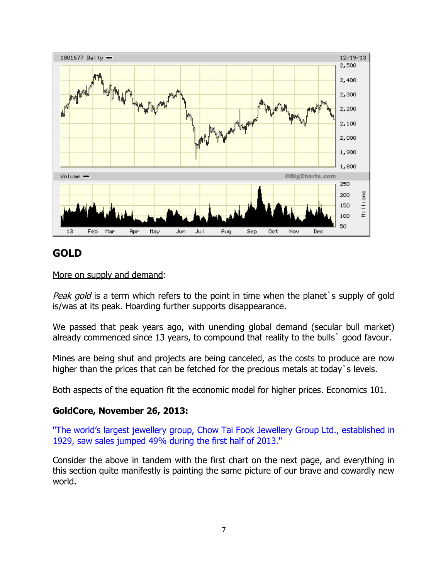

## **GOLD**

More on supply and demand:

Peak gold is a term which refers to the point in time when the planet's supply of gold is/was at its peak. Hoarding further supports disappearance.

We passed that peak years ago, with unending global demand (secular bull market) already commenced since 13 years, to compound that reality to the bulls` good favour.

Mines are being shut and projects are being canceled, as the costs to produce are now higher than the prices that can be fetched for the precious metals at today's levels.

Both aspects of the equation fit the economic model for higher prices. Economics 101.

### **GoldCore, November 26, 2013:**

"The world's largest jewellery group, Chow Tai Fook Jewellery Group Ltd., established in 1929, saw sales jumped 49% during the first half of 2013."

Consider the above in tandem with the first chart on the next page, and everything in this section quite manifestly is painting the same picture of our brave and cowardly new world.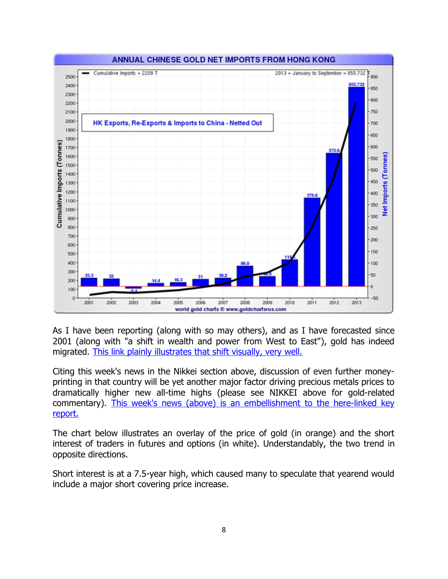

As I have been reporting (along with so may others), and as I have forecasted since 2001 (along with "a shift in wealth and power from West to East"), gold has indeed migrated. [This link plainly illustrates that shift visually, very well.](http://srsroccoreport.com/record-u-s-gold-bullion-exports-head-to-hong-kong-switzerland/record-u-s-gold-bullion-exports-head-to-hong-kong-switzerland/#!)

Citing this week's news in the Nikkei section above, discussion of even further moneyprinting in that country will be yet another major factor driving precious metals prices to dramatically higher new all-time highs (please see NIKKEI above for gold-related commentary). [This week's news \(above\) is an embellishment to the here-linked key](http://www.kitco.com/ind/Thomson/2013-11-26-Japanese-QE-Trumps-American-Taper.html) [report.](http://www.kitco.com/ind/Thomson/2013-11-26-Japanese-QE-Trumps-American-Taper.html)

The chart below illustrates an overlay of the price of gold (in orange) and the short interest of traders in futures and options (in white). Understandably, the two trend in opposite directions.

Short interest is at a 7.5-year high, which caused many to speculate that yearend would include a major short covering price increase.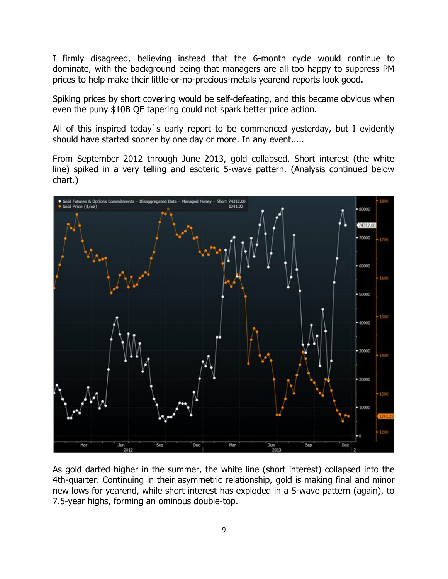I firmly disagreed, believing instead that the 6-month cycle would continue to dominate, with the background being that managers are all too happy to suppress PM prices to help make their little-or-no-precious-metals yearend reports look good.

Spiking prices by short covering would be self-defeating, and this became obvious when even the puny \$10B QE tapering could not spark better price action.

All of this inspired today`s early report to be commenced yesterday, but I evidently should have started sooner by one day or more. In any event.....

From September 2012 through June 2013, gold collapsed. Short interest (the white line) spiked in a very telling and esoteric 5-wave pattern. (Analysis continued below chart.)



As gold darted higher in the summer, the white line (short interest) collapsed into the 4th-quarter. Continuing in their asymmetric relationship, gold is making final and minor new lows for yearend, while short interest has exploded in a 5-wave pattern (again), to 7.5-year highs, forming an ominous double-top.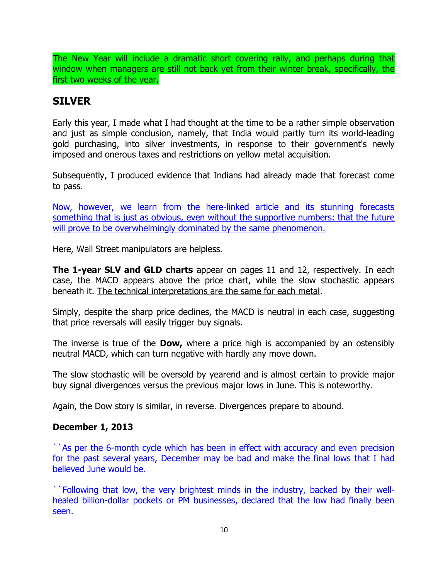The New Year will include a dramatic short covering rally, and perhaps during that window when managers are still not back yet from their winter break, specifically, the first two weeks of the year.

## **SILVER**

Early this year, I made what I had thought at the time to be a rather simple observation and just as simple conclusion, namely, that India would partly turn its world-leading gold purchasing, into silver investments, in response to their government's newly imposed and onerous taxes and restrictions on yellow metal acquisition.

Subsequently, I produced evidence that Indians had already made that forecast come to pass.

[Now, however, we learn from the here-linked article and its stunning forecasts](http://www.silverseek.com/commentary/india-will-buy-22-world-silver-production-and-44-investment-silver-year-tax-hits-gold-con) [something that is just as obvious, even without the supportive numbers: that the future](http://www.silverseek.com/commentary/india-will-buy-22-world-silver-production-and-44-investment-silver-year-tax-hits-gold-con) [will prove to be overwhelmingly dominated by the same phenomenon.](http://www.silverseek.com/commentary/india-will-buy-22-world-silver-production-and-44-investment-silver-year-tax-hits-gold-con)

Here, Wall Street manipulators are helpless.

**The 1-year SLV and GLD charts** appear on pages 11 and 12, respectively. In each case, the MACD appears above the price chart, while the slow stochastic appears beneath it. The technical interpretations are the same for each metal.

Simply, despite the sharp price declines, the MACD is neutral in each case, suggesting that price reversals will easily trigger buy signals.

The inverse is true of the **Dow,** where a price high is accompanied by an ostensibly neutral MACD, which can turn negative with hardly any move down.

The slow stochastic will be oversold by yearend and is almost certain to provide major buy signal divergences versus the previous major lows in June. This is noteworthy.

Again, the Dow story is similar, in reverse. Divergences prepare to abound.

### **December 1, 2013**

``As per the 6-month cycle which has been in effect with accuracy and even precision for the past several years, December may be bad and make the final lows that I had believed June would be.

``Following that low, the very brightest minds in the industry, backed by their wellhealed billion-dollar pockets or PM businesses, declared that the low had finally been seen.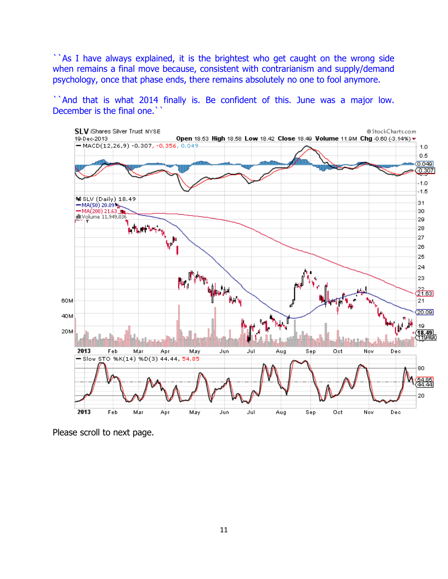``As I have always explained, it is the brightest who get caught on the wrong side when remains a final move because, consistent with contrarianism and supply/demand psychology, once that phase ends, there remains absolutely no one to fool anymore.

``And that is what 2014 finally is. Be confident of this. June was a major low. December is the final one."



Please scroll to next page.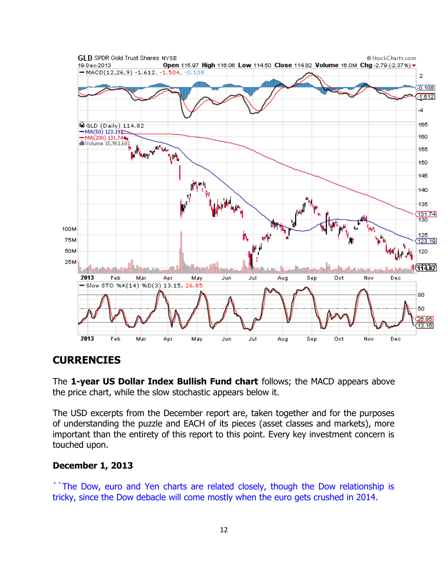

## **CURRENCIES**

The **1-year US Dollar Index Bullish Fund chart** follows; the MACD appears above the price chart, while the slow stochastic appears below it.

The USD excerpts from the December report are, taken together and for the purposes of understanding the puzzle and EACH of its pieces (asset classes and markets), more important than the entirety of this report to this point. Every key investment concern is touched upon.

#### **December 1, 2013**

``The Dow, euro and Yen charts are related closely, though the Dow relationship is tricky, since the Dow debacle will come mostly when the euro gets crushed in 2014.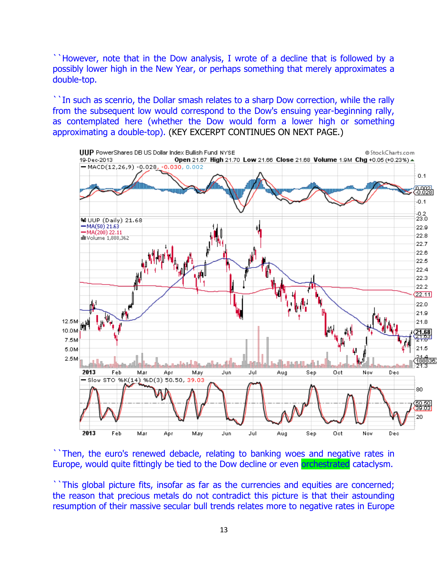``However, note that in the Dow analysis, I wrote of a decline that is followed by a possibly lower high in the New Year, or perhaps something that merely approximates a double-top.

``In such as scenrio, the Dollar smash relates to a sharp Dow correction, while the rally from the subsequent low would correspond to the Dow's ensuing year-beginning rally, as contemplated here (whether the Dow would form a lower high or something approximating a double-top). (KEY EXCERPT CONTINUES ON NEXT PAGE.)



``Then, the euro's renewed debacle, relating to banking woes and negative rates in Europe, would quite fittingly be tied to the Dow decline or even orchestrated cataclysm.

``This global picture fits, insofar as far as the currencies and equities are concerned; the reason that precious metals do not contradict this picture is that their astounding resumption of their massive secular bull trends relates more to negative rates in Europe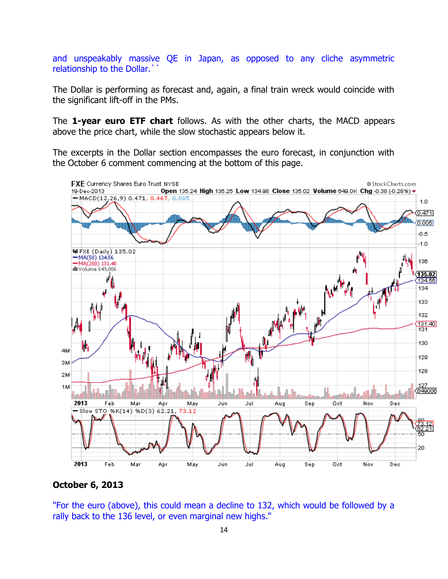and unspeakably massive QE in Japan, as opposed to any cliche asymmetric relationship to the Dollar.``

The Dollar is performing as forecast and, again, a final train wreck would coincide with the significant lift-off in the PMs.

The **1-year euro ETF chart** follows. As with the other charts, the MACD appears above the price chart, while the slow stochastic appears below it.

The excerpts in the Dollar section encompasses the euro forecast, in conjunction with the October 6 comment commencing at the bottom of this page.



#### **October 6, 2013**

"For the euro (above), this could mean a decline to 132, which would be followed by a rally back to the 136 level, or even marginal new highs."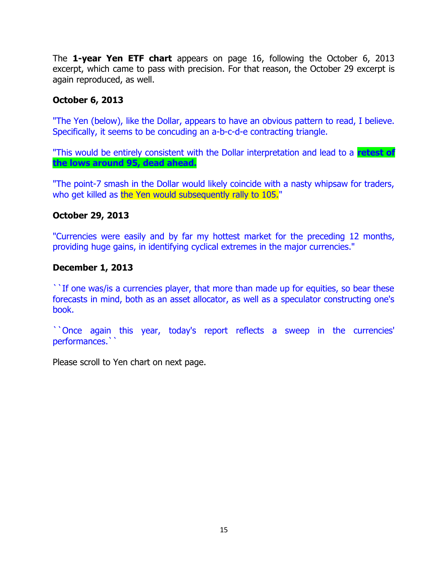The **1-year Yen ETF chart** appears on page 16, following the October 6, 2013 excerpt, which came to pass with precision. For that reason, the October 29 excerpt is again reproduced, as well.

### **October 6, 2013**

"The Yen (below), like the Dollar, appears to have an obvious pattern to read, I believe. Specifically, it seems to be concuding an a-b-c-d-e contracting triangle.

"This would be entirely consistent with the Dollar interpretation and lead to a **retest of the lows around 95, dead ahead.**

"The point-7 smash in the Dollar would likely coincide with a nasty whipsaw for traders, who get killed as the Yen would subsequently rally to 105."

#### **October 29, 2013**

"Currencies were easily and by far my hottest market for the preceding 12 months, providing huge gains, in identifying cyclical extremes in the major currencies."

#### **December 1, 2013**

``If one was/is a currencies player, that more than made up for equities, so bear these forecasts in mind, both as an asset allocator, as well as a speculator constructing one's book.

``Once again this year, today's report reflects a sweep in the currencies' performances.``

Please scroll to Yen chart on next page.